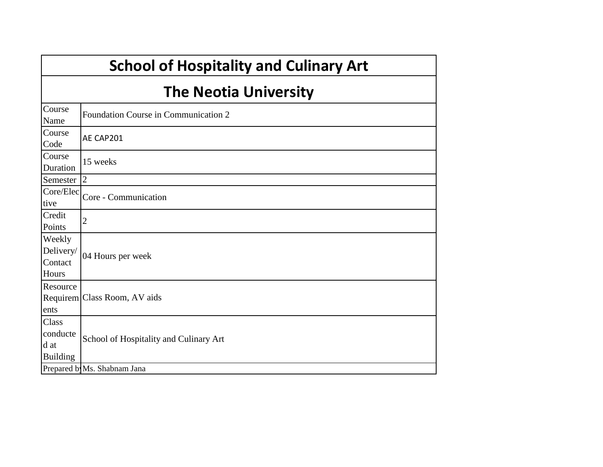|                                                     | <b>School of Hospitality and Culinary Art</b> |  |  |  |  |  |  |  |
|-----------------------------------------------------|-----------------------------------------------|--|--|--|--|--|--|--|
|                                                     | <b>The Neotia University</b>                  |  |  |  |  |  |  |  |
| Course<br>Name                                      | Foundation Course in Communication 2          |  |  |  |  |  |  |  |
| Course<br>Code                                      | AE CAP201                                     |  |  |  |  |  |  |  |
| Course<br>Duration                                  | 15 weeks                                      |  |  |  |  |  |  |  |
| Semester                                            | $\overline{2}$                                |  |  |  |  |  |  |  |
| Core/Elec<br>tive                                   | Core - Communication                          |  |  |  |  |  |  |  |
| Credit<br>Points                                    | 2                                             |  |  |  |  |  |  |  |
| Weekly<br>Delivery/<br>Contact<br>Hours             | 04 Hours per week                             |  |  |  |  |  |  |  |
| Resource<br>ents                                    | Requirem Class Room, AV aids                  |  |  |  |  |  |  |  |
| <b>Class</b><br>conducte<br>d at<br><b>Building</b> | School of Hospitality and Culinary Art        |  |  |  |  |  |  |  |
|                                                     | Prepared by Ms. Shabnam Jana                  |  |  |  |  |  |  |  |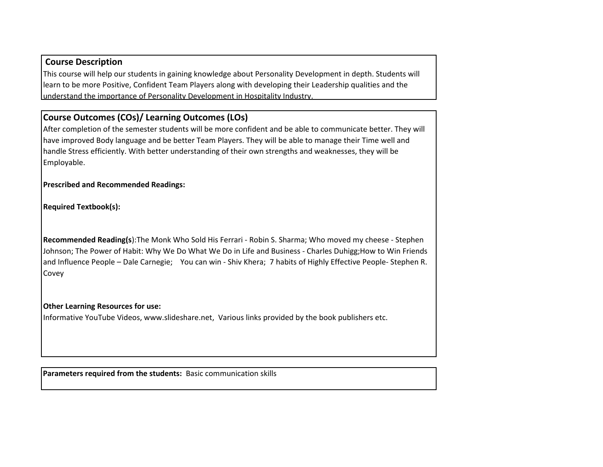## **Course Description**

This course will help our students in gaining knowledge about Personality Development in depth. Students will learn to be more Positive, Confident Team Players along with developing their Leadership qualities and the understand the importance of Personality Development in Hospitality Industry.

## **Course Outcomes (COs)/ Learning Outcomes (LOs)**

After completion of the semester students will be more confident and be able to communicate better. They will have improved Body language and be better Team Players. They will be able to manage their Time well and handle Stress efficiently. With better understanding of their own strengths and weaknesses, they will be Employable.

**Prescribed and Recommended Readings:**

**Required Textbook(s):** 

**Recommended Reading(s**):The Monk Who Sold His Ferrari - Robin S. Sharma; Who moved my cheese - Stephen Johnson; The Power of Habit: Why We Do What We Do in Life and Business - Charles Duhigg;How to Win Friends and Influence People – Dale Carnegie; You can win - Shiv Khera; 7 habits of Highly Effective People- Stephen R. Covey

## **Other Learning Resources for use:**

Informative YouTube Videos, www.slideshare.net, Various links provided by the book publishers etc.

**Parameters required from the students:** Basic communication skills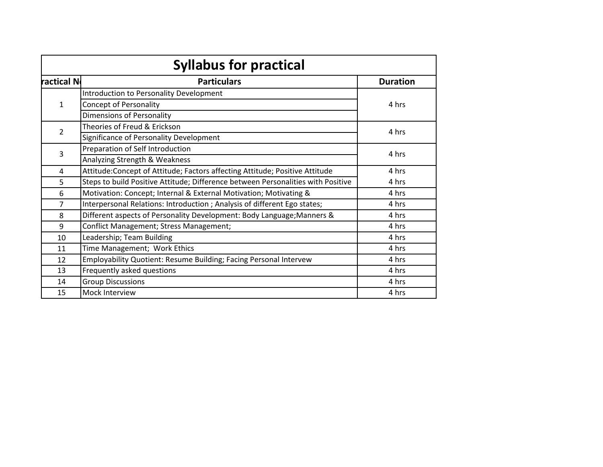| <b>Syllabus for practical</b> |                                                                                           |       |  |  |  |  |  |  |
|-------------------------------|-------------------------------------------------------------------------------------------|-------|--|--|--|--|--|--|
| ractical N                    | <b>Particulars</b>                                                                        |       |  |  |  |  |  |  |
|                               | Introduction to Personality Development                                                   |       |  |  |  |  |  |  |
| $\mathbf{1}$                  | Concept of Personality                                                                    | 4 hrs |  |  |  |  |  |  |
|                               | Dimensions of Personality                                                                 |       |  |  |  |  |  |  |
|                               | Theories of Freud & Erickson<br>$\overline{2}$<br>Significance of Personality Development |       |  |  |  |  |  |  |
|                               |                                                                                           |       |  |  |  |  |  |  |
|                               | Preparation of Self Introduction                                                          |       |  |  |  |  |  |  |
| 3                             | Analyzing Strength & Weakness                                                             | 4 hrs |  |  |  |  |  |  |
| 4                             | Attitude: Concept of Attitude; Factors affecting Attitude; Positive Attitude              | 4 hrs |  |  |  |  |  |  |
| 5                             | Steps to build Positive Attitude; Difference between Personalities with Positive          | 4 hrs |  |  |  |  |  |  |
| 6                             | Motivation: Concept; Internal & External Motivation; Motivating &                         | 4 hrs |  |  |  |  |  |  |
| $\overline{7}$                | Interpersonal Relations: Introduction ; Analysis of different Ego states;                 | 4 hrs |  |  |  |  |  |  |
| 8                             | Different aspects of Personality Development: Body Language; Manners &                    | 4 hrs |  |  |  |  |  |  |
| 9                             | Conflict Management; Stress Management;                                                   | 4 hrs |  |  |  |  |  |  |
| 10                            | Leadership; Team Building                                                                 | 4 hrs |  |  |  |  |  |  |
| 11                            | Time Management; Work Ethics                                                              | 4 hrs |  |  |  |  |  |  |
| 12                            | Employability Quotient: Resume Building; Facing Personal Intervew                         | 4 hrs |  |  |  |  |  |  |
| 13                            | Frequently asked questions                                                                | 4 hrs |  |  |  |  |  |  |
| 14                            | <b>Group Discussions</b>                                                                  | 4 hrs |  |  |  |  |  |  |
| 15                            | Mock Interview                                                                            | 4 hrs |  |  |  |  |  |  |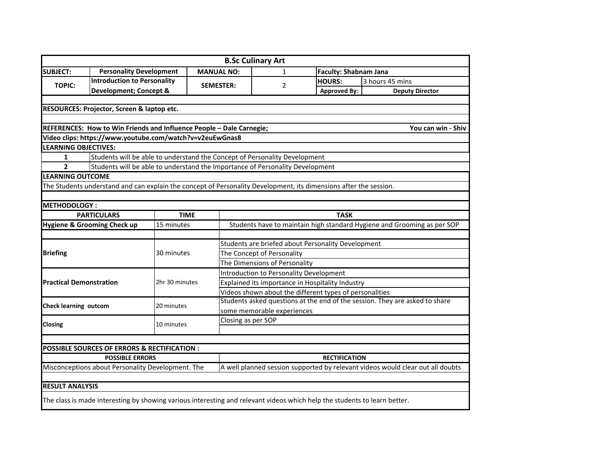|                                |                                                                                                                           |                |             |                                                                             | <b>B.Sc Culinary Art</b>                                                      |                              |                                                                                |  |  |
|--------------------------------|---------------------------------------------------------------------------------------------------------------------------|----------------|-------------|-----------------------------------------------------------------------------|-------------------------------------------------------------------------------|------------------------------|--------------------------------------------------------------------------------|--|--|
| <b>SUBJECT:</b>                | <b>Personality Development</b>                                                                                            |                |             | <b>MANUAL NO:</b>                                                           | 1                                                                             | <b>Faculty: Shabnam Jana</b> |                                                                                |  |  |
|                                | <b>Introduction to Personality</b>                                                                                        |                |             |                                                                             |                                                                               | <b>HOURS:</b>                | 3 hours 45 mins                                                                |  |  |
| <b>TOPIC:</b>                  | <b>Development; Concept &amp;</b>                                                                                         |                |             | <b>SEMESTER:</b>                                                            | 2                                                                             | <b>Approved By:</b>          | <b>Deputy Director</b>                                                         |  |  |
|                                |                                                                                                                           |                |             |                                                                             |                                                                               |                              |                                                                                |  |  |
|                                | RESOURCES: Projector, Screen & laptop etc.                                                                                |                |             |                                                                             |                                                                               |                              |                                                                                |  |  |
|                                |                                                                                                                           |                |             |                                                                             |                                                                               |                              |                                                                                |  |  |
|                                | REFERENCES: How to Win Friends and Influence People - Dale Carnegie;                                                      |                |             |                                                                             |                                                                               |                              | You can win - Shiv                                                             |  |  |
|                                | Video clips: https://www.youtube.com/watch?v=v2euEwGnas8                                                                  |                |             |                                                                             |                                                                               |                              |                                                                                |  |  |
| <b>LEARNING OBJECTIVES:</b>    |                                                                                                                           |                |             |                                                                             |                                                                               |                              |                                                                                |  |  |
| 1                              |                                                                                                                           |                |             |                                                                             | Students will be able to understand the Concept of Personality Development    |                              |                                                                                |  |  |
| $\overline{2}$                 |                                                                                                                           |                |             |                                                                             | Students will be able to understand the Importance of Personality Development |                              |                                                                                |  |  |
| <b>LEARNING OUTCOME</b>        |                                                                                                                           |                |             |                                                                             |                                                                               |                              |                                                                                |  |  |
|                                | The Students understand and can explain the concept of Personality Development, its dimensions after the session.         |                |             |                                                                             |                                                                               |                              |                                                                                |  |  |
|                                |                                                                                                                           |                |             |                                                                             |                                                                               |                              |                                                                                |  |  |
| <b>METHODOLOGY:</b>            |                                                                                                                           |                |             |                                                                             |                                                                               |                              |                                                                                |  |  |
| <b>PARTICULARS</b>             |                                                                                                                           |                | <b>TIME</b> | <b>TASK</b>                                                                 |                                                                               |                              |                                                                                |  |  |
| Hygiene & Grooming Check up    |                                                                                                                           | 15 minutes     |             | Students have to maintain high standard Hygiene and Grooming as per SOP     |                                                                               |                              |                                                                                |  |  |
|                                |                                                                                                                           |                |             |                                                                             |                                                                               |                              |                                                                                |  |  |
|                                |                                                                                                                           |                |             | Students are briefed about Personality Development                          |                                                                               |                              |                                                                                |  |  |
| <b>Briefing</b>                |                                                                                                                           | 30 minutes     |             | The Concept of Personality                                                  |                                                                               |                              |                                                                                |  |  |
|                                |                                                                                                                           |                |             | The Dimensions of Personality                                               |                                                                               |                              |                                                                                |  |  |
|                                |                                                                                                                           |                |             | Introduction to Personality Development                                     |                                                                               |                              |                                                                                |  |  |
| <b>Practical Demonstration</b> |                                                                                                                           | 2hr 30 minutes |             | Explained its importance in Hospitality Industry                            |                                                                               |                              |                                                                                |  |  |
|                                |                                                                                                                           |                |             | Videos shown about the different types of personalities                     |                                                                               |                              |                                                                                |  |  |
| <b>Check learning outcom</b>   |                                                                                                                           | 20 minutes     |             | Students asked questions at the end of the session. They are asked to share |                                                                               |                              |                                                                                |  |  |
|                                |                                                                                                                           |                |             | some memorable experiences                                                  |                                                                               |                              |                                                                                |  |  |
| <b>Closing</b>                 |                                                                                                                           | 10 minutes     |             | Closing as per SOP                                                          |                                                                               |                              |                                                                                |  |  |
|                                |                                                                                                                           |                |             |                                                                             |                                                                               |                              |                                                                                |  |  |
|                                |                                                                                                                           |                |             |                                                                             |                                                                               |                              |                                                                                |  |  |
|                                | <b>POSSIBLE SOURCES OF ERRORS &amp; RECTIFICATION:</b>                                                                    |                |             |                                                                             |                                                                               |                              |                                                                                |  |  |
|                                | <b>POSSIBLE ERRORS</b>                                                                                                    |                |             |                                                                             |                                                                               | <b>RECTIFICATION</b>         |                                                                                |  |  |
|                                | Misconceptions about Personality Development. The                                                                         |                |             |                                                                             |                                                                               |                              | A well planned session supported by relevant videos would clear out all doubts |  |  |
|                                |                                                                                                                           |                |             |                                                                             |                                                                               |                              |                                                                                |  |  |
| <b>RESULT ANALYSIS</b>         |                                                                                                                           |                |             |                                                                             |                                                                               |                              |                                                                                |  |  |
|                                | The class is made interesting by showing various interesting and relevant videos which help the students to learn better. |                |             |                                                                             |                                                                               |                              |                                                                                |  |  |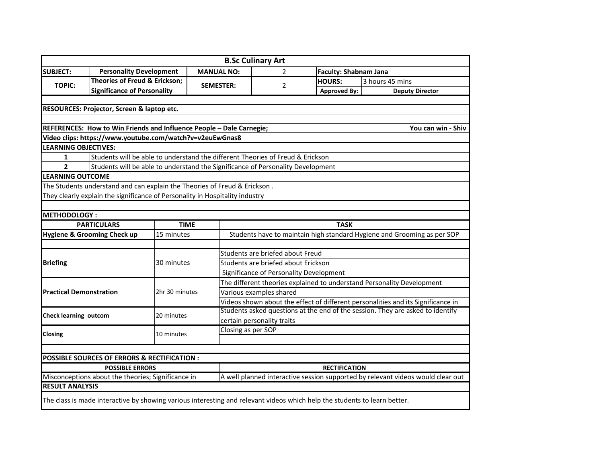|                                                    |                                                                              |                |                   | <b>B.Sc Culinary Art</b>                                                                                                  |                              |                                                                                 |  |  |  |  |
|----------------------------------------------------|------------------------------------------------------------------------------|----------------|-------------------|---------------------------------------------------------------------------------------------------------------------------|------------------------------|---------------------------------------------------------------------------------|--|--|--|--|
| <b>SUBJECT:</b>                                    | <b>Personality Development</b>                                               |                | <b>MANUAL NO:</b> | 2                                                                                                                         | <b>Faculty: Shabnam Jana</b> |                                                                                 |  |  |  |  |
|                                                    | Theories of Freud & Erickson;                                                |                |                   |                                                                                                                           | <b>HOURS:</b>                | 3 hours 45 mins                                                                 |  |  |  |  |
| <b>TOPIC:</b>                                      | <b>Significance of Personality</b>                                           |                | <b>SEMESTER:</b>  | 2                                                                                                                         | <b>Approved By:</b>          | <b>Deputy Director</b>                                                          |  |  |  |  |
|                                                    |                                                                              |                |                   |                                                                                                                           |                              |                                                                                 |  |  |  |  |
|                                                    | RESOURCES: Projector, Screen & laptop etc.                                   |                |                   |                                                                                                                           |                              |                                                                                 |  |  |  |  |
|                                                    |                                                                              |                |                   |                                                                                                                           |                              |                                                                                 |  |  |  |  |
|                                                    | REFERENCES: How to Win Friends and Influence People - Dale Carnegie;         |                |                   |                                                                                                                           |                              | You can win - Shiv                                                              |  |  |  |  |
|                                                    | Video clips: https://www.youtube.com/watch?v=v2euEwGnas8                     |                |                   |                                                                                                                           |                              |                                                                                 |  |  |  |  |
| <b>LEARNING OBJECTIVES:</b>                        |                                                                              |                |                   |                                                                                                                           |                              |                                                                                 |  |  |  |  |
| $\mathbf{1}$                                       |                                                                              |                |                   | Students will be able to understand the different Theories of Freud & Erickson                                            |                              |                                                                                 |  |  |  |  |
| $\overline{2}$                                     |                                                                              |                |                   | Students will be able to understand the Significance of Personality Development                                           |                              |                                                                                 |  |  |  |  |
| <b>LEARNING OUTCOME</b>                            |                                                                              |                |                   |                                                                                                                           |                              |                                                                                 |  |  |  |  |
|                                                    | The Students understand and can explain the Theories of Freud & Erickson.    |                |                   |                                                                                                                           |                              |                                                                                 |  |  |  |  |
|                                                    | They clearly explain the significance of Personality in Hospitality industry |                |                   |                                                                                                                           |                              |                                                                                 |  |  |  |  |
|                                                    |                                                                              |                |                   |                                                                                                                           |                              |                                                                                 |  |  |  |  |
| <b>METHODOLOGY:</b>                                |                                                                              |                |                   |                                                                                                                           |                              |                                                                                 |  |  |  |  |
|                                                    | <b>PARTICULARS</b>                                                           | <b>TIME</b>    |                   |                                                                                                                           | <b>TASK</b>                  |                                                                                 |  |  |  |  |
|                                                    | Hygiene & Grooming Check up                                                  | 15 minutes     |                   | Students have to maintain high standard Hygiene and Grooming as per SOP                                                   |                              |                                                                                 |  |  |  |  |
|                                                    |                                                                              |                |                   |                                                                                                                           |                              |                                                                                 |  |  |  |  |
|                                                    |                                                                              |                |                   | Students are briefed about Freud                                                                                          |                              |                                                                                 |  |  |  |  |
| <b>Briefing</b>                                    |                                                                              | 30 minutes     |                   | Students are briefed about Erickson                                                                                       |                              |                                                                                 |  |  |  |  |
|                                                    |                                                                              |                |                   | Significance of Personality Development                                                                                   |                              |                                                                                 |  |  |  |  |
|                                                    |                                                                              |                |                   | The different theories explained to understand Personality Development                                                    |                              |                                                                                 |  |  |  |  |
| <b>Practical Demonstration</b>                     |                                                                              | 2hr 30 minutes |                   | Various examples shared                                                                                                   |                              |                                                                                 |  |  |  |  |
|                                                    |                                                                              |                |                   | Videos shown about the effect of different personalities and its Significance in                                          |                              |                                                                                 |  |  |  |  |
|                                                    |                                                                              |                |                   |                                                                                                                           |                              | Students asked questions at the end of the session. They are asked to identify  |  |  |  |  |
| <b>Check learning outcom</b>                       |                                                                              | 20 minutes     |                   | certain personality traits                                                                                                |                              |                                                                                 |  |  |  |  |
|                                                    |                                                                              |                |                   | Closing as per SOP                                                                                                        |                              |                                                                                 |  |  |  |  |
| Closing                                            |                                                                              | 10 minutes     |                   |                                                                                                                           |                              |                                                                                 |  |  |  |  |
|                                                    |                                                                              |                |                   |                                                                                                                           |                              |                                                                                 |  |  |  |  |
|                                                    | POSSIBLE SOURCES OF ERRORS & RECTIFICATION :                                 |                |                   |                                                                                                                           |                              |                                                                                 |  |  |  |  |
| <b>POSSIBLE ERRORS</b><br><b>RECTIFICATION</b>     |                                                                              |                |                   |                                                                                                                           |                              |                                                                                 |  |  |  |  |
| Misconceptions about the theories; Significance in |                                                                              |                |                   |                                                                                                                           |                              | A well planned interactive session supported by relevant videos would clear out |  |  |  |  |
| <b>RESULT ANALYSIS</b>                             |                                                                              |                |                   |                                                                                                                           |                              |                                                                                 |  |  |  |  |
|                                                    |                                                                              |                |                   | The class is made interactive by showing various interesting and relevant videos which help the students to learn better. |                              |                                                                                 |  |  |  |  |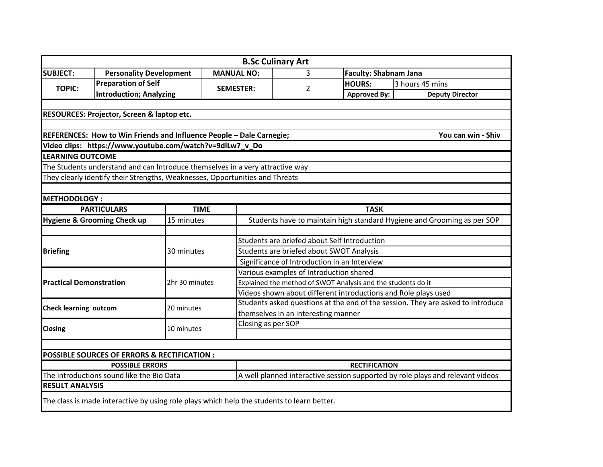|                                |                                                                                            |                |  |                                                                                 | <b>B.Sc Culinary Art</b>                     |                              |                        |  |  |  |
|--------------------------------|--------------------------------------------------------------------------------------------|----------------|--|---------------------------------------------------------------------------------|----------------------------------------------|------------------------------|------------------------|--|--|--|
| <b>SUBJECT:</b>                | <b>Personality Development</b>                                                             |                |  | <b>MANUAL NO:</b>                                                               | 3                                            | <b>Faculty: Shabnam Jana</b> |                        |  |  |  |
|                                | <b>Preparation of Self</b>                                                                 |                |  |                                                                                 |                                              | <b>HOURS:</b>                | 3 hours 45 mins        |  |  |  |
| <b>TOPIC:</b>                  | <b>Introduction; Analyzing</b>                                                             |                |  | <b>SEMESTER:</b>                                                                | 2                                            | <b>Approved By:</b>          | <b>Deputy Director</b> |  |  |  |
|                                |                                                                                            |                |  |                                                                                 |                                              |                              |                        |  |  |  |
|                                | RESOURCES: Projector, Screen & laptop etc.                                                 |                |  |                                                                                 |                                              |                              |                        |  |  |  |
|                                |                                                                                            |                |  |                                                                                 |                                              |                              |                        |  |  |  |
|                                | REFERENCES: How to Win Friends and Influence People - Dale Carnegie;                       |                |  |                                                                                 |                                              |                              | You can win - Shiv     |  |  |  |
|                                | Video clips: https://www.youtube.com/watch?v=9dlLw7_v_Do                                   |                |  |                                                                                 |                                              |                              |                        |  |  |  |
| <b>LEARNING OUTCOME</b>        |                                                                                            |                |  |                                                                                 |                                              |                              |                        |  |  |  |
|                                | The Students understand and can Introduce themselves in a very attractive way.             |                |  |                                                                                 |                                              |                              |                        |  |  |  |
|                                | They clearly identify their Strengths, Weaknesses, Opportunities and Threats               |                |  |                                                                                 |                                              |                              |                        |  |  |  |
|                                |                                                                                            |                |  |                                                                                 |                                              |                              |                        |  |  |  |
| <b>METHODOLOGY:</b>            |                                                                                            |                |  |                                                                                 |                                              |                              |                        |  |  |  |
|                                | <b>PARTICULARS</b>                                                                         | <b>TIME</b>    |  | <b>TASK</b>                                                                     |                                              |                              |                        |  |  |  |
|                                | <b>Hygiene &amp; Grooming Check up</b>                                                     | 15 minutes     |  | Students have to maintain high standard Hygiene and Grooming as per SOP         |                                              |                              |                        |  |  |  |
|                                |                                                                                            |                |  |                                                                                 |                                              |                              |                        |  |  |  |
|                                |                                                                                            |                |  |                                                                                 | Students are briefed about Self Introduction |                              |                        |  |  |  |
| <b>Briefing</b>                |                                                                                            | 30 minutes     |  | Students are briefed about SWOT Analysis                                        |                                              |                              |                        |  |  |  |
|                                |                                                                                            |                |  | Significance of Introduction in an Interview                                    |                                              |                              |                        |  |  |  |
|                                |                                                                                            |                |  | Various examples of Introduction shared                                         |                                              |                              |                        |  |  |  |
| <b>Practical Demonstration</b> |                                                                                            | 2hr 30 minutes |  | Explained the method of SWOT Analysis and the students do it                    |                                              |                              |                        |  |  |  |
|                                |                                                                                            |                |  | Videos shown about different introductions and Role plays used                  |                                              |                              |                        |  |  |  |
| <b>Check learning outcom</b>   |                                                                                            | 20 minutes     |  | Students asked questions at the end of the session. They are asked to Introduce |                                              |                              |                        |  |  |  |
|                                |                                                                                            |                |  | themselves in an interesting manner                                             |                                              |                              |                        |  |  |  |
| <b>Closing</b>                 |                                                                                            | 10 minutes     |  | Closing as per SOP                                                              |                                              |                              |                        |  |  |  |
|                                |                                                                                            |                |  |                                                                                 |                                              |                              |                        |  |  |  |
|                                |                                                                                            |                |  |                                                                                 |                                              |                              |                        |  |  |  |
|                                | POSSIBLE SOURCES OF ERRORS & RECTIFICATION :                                               |                |  |                                                                                 |                                              |                              |                        |  |  |  |
|                                | <b>POSSIBLE ERRORS</b>                                                                     |                |  |                                                                                 |                                              | <b>RECTIFICATION</b>         |                        |  |  |  |
|                                | The introductions sound like the Bio Data                                                  |                |  | A well planned interactive session supported by role plays and relevant videos  |                                              |                              |                        |  |  |  |
| <b>RESULT ANALYSIS</b>         |                                                                                            |                |  |                                                                                 |                                              |                              |                        |  |  |  |
|                                | The class is made interactive by using role plays which help the students to learn better. |                |  |                                                                                 |                                              |                              |                        |  |  |  |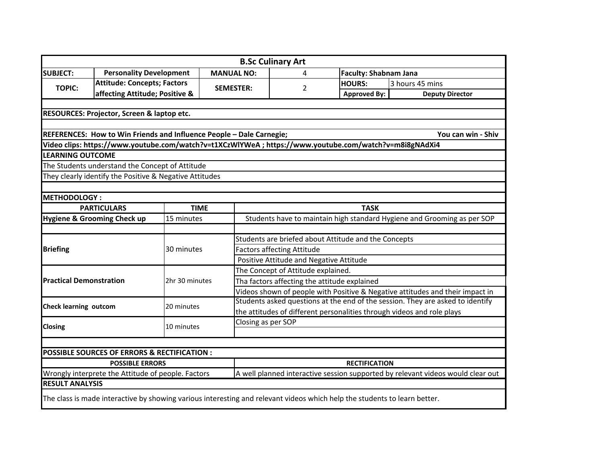|                                |                                                                                                                           |                |  |                                                                                 | <b>B.Sc Culinary Art</b>                                                |                              |                        |  |  |  |
|--------------------------------|---------------------------------------------------------------------------------------------------------------------------|----------------|--|---------------------------------------------------------------------------------|-------------------------------------------------------------------------|------------------------------|------------------------|--|--|--|
| <b>SUBJECT:</b>                | <b>Personality Development</b>                                                                                            |                |  | <b>MANUAL NO:</b>                                                               | 4                                                                       | <b>Faculty: Shabnam Jana</b> |                        |  |  |  |
| <b>TOPIC:</b>                  | <b>Attitude: Concepts; Factors</b>                                                                                        |                |  |                                                                                 |                                                                         | <b>HOURS:</b>                | 3 hours 45 mins        |  |  |  |
|                                | affecting Attitude; Positive &                                                                                            |                |  | <b>SEMESTER:</b>                                                                | 2                                                                       | <b>Approved By:</b>          | <b>Deputy Director</b> |  |  |  |
|                                |                                                                                                                           |                |  |                                                                                 |                                                                         |                              |                        |  |  |  |
|                                | RESOURCES: Projector, Screen & laptop etc.                                                                                |                |  |                                                                                 |                                                                         |                              |                        |  |  |  |
|                                |                                                                                                                           |                |  |                                                                                 |                                                                         |                              |                        |  |  |  |
|                                | REFERENCES: How to Win Friends and Influence People - Dale Carnegie;                                                      |                |  |                                                                                 |                                                                         |                              | You can win - Shiv     |  |  |  |
|                                | Video clips: https://www.youtube.com/watch?v=t1XCzWlYWeA ; https://www.youtube.com/watch?v=m8i8gNAdXi4                    |                |  |                                                                                 |                                                                         |                              |                        |  |  |  |
| <b>LEARNING OUTCOME</b>        |                                                                                                                           |                |  |                                                                                 |                                                                         |                              |                        |  |  |  |
|                                | The Students understand the Concept of Attitude                                                                           |                |  |                                                                                 |                                                                         |                              |                        |  |  |  |
|                                | They clearly identify the Positive & Negative Attitudes                                                                   |                |  |                                                                                 |                                                                         |                              |                        |  |  |  |
|                                |                                                                                                                           |                |  |                                                                                 |                                                                         |                              |                        |  |  |  |
| <b>METHODOLOGY:</b>            |                                                                                                                           |                |  |                                                                                 |                                                                         |                              |                        |  |  |  |
|                                | <b>PARTICULARS</b>                                                                                                        | <b>TIME</b>    |  | <b>TASK</b>                                                                     |                                                                         |                              |                        |  |  |  |
|                                | <b>Hygiene &amp; Grooming Check up</b>                                                                                    | 15 minutes     |  |                                                                                 | Students have to maintain high standard Hygiene and Grooming as per SOP |                              |                        |  |  |  |
|                                |                                                                                                                           |                |  |                                                                                 |                                                                         |                              |                        |  |  |  |
|                                |                                                                                                                           | 30 minutes     |  | Students are briefed about Attitude and the Concepts                            |                                                                         |                              |                        |  |  |  |
| <b>Briefing</b>                |                                                                                                                           |                |  | <b>Factors affecting Attitude</b>                                               |                                                                         |                              |                        |  |  |  |
|                                |                                                                                                                           |                |  | Positive Attitude and Negative Attitude                                         |                                                                         |                              |                        |  |  |  |
|                                |                                                                                                                           |                |  | The Concept of Attitude explained.                                              |                                                                         |                              |                        |  |  |  |
| <b>Practical Demonstration</b> |                                                                                                                           | 2hr 30 minutes |  | Tha factors affecting the attitude explained                                    |                                                                         |                              |                        |  |  |  |
|                                |                                                                                                                           |                |  | Videos shown of people with Positive & Negative attitudes and their impact in   |                                                                         |                              |                        |  |  |  |
| <b>Check learning outcom</b>   |                                                                                                                           | 20 minutes     |  | Students asked questions at the end of the session. They are asked to identify  |                                                                         |                              |                        |  |  |  |
|                                |                                                                                                                           |                |  | the attitudes of different personalities through videos and role plays          |                                                                         |                              |                        |  |  |  |
| <b>Closing</b>                 |                                                                                                                           | 10 minutes     |  | Closing as per SOP                                                              |                                                                         |                              |                        |  |  |  |
|                                |                                                                                                                           |                |  |                                                                                 |                                                                         |                              |                        |  |  |  |
|                                |                                                                                                                           |                |  |                                                                                 |                                                                         |                              |                        |  |  |  |
|                                | <b>POSSIBLE SOURCES OF ERRORS &amp; RECTIFICATION:</b>                                                                    |                |  |                                                                                 |                                                                         |                              |                        |  |  |  |
|                                | <b>POSSIBLE ERRORS</b>                                                                                                    |                |  |                                                                                 |                                                                         | <b>RECTIFICATION</b>         |                        |  |  |  |
|                                | Wrongly interprete the Attitude of people. Factors                                                                        |                |  | A well planned interactive session supported by relevant videos would clear out |                                                                         |                              |                        |  |  |  |
| <b>RESULT ANALYSIS</b>         |                                                                                                                           |                |  |                                                                                 |                                                                         |                              |                        |  |  |  |
|                                | The class is made interactive by showing various interesting and relevant videos which help the students to learn better. |                |  |                                                                                 |                                                                         |                              |                        |  |  |  |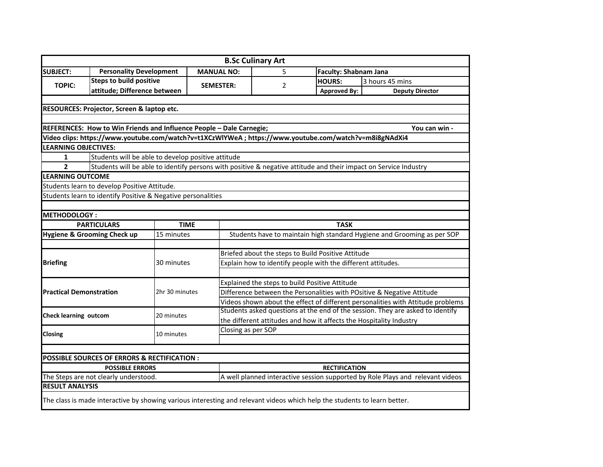|                                |                                                              |                |                                                                                                                           | <b>B.Sc Culinary Art</b>                                                       |                              |                                                                                                                  |  |  |  |  |
|--------------------------------|--------------------------------------------------------------|----------------|---------------------------------------------------------------------------------------------------------------------------|--------------------------------------------------------------------------------|------------------------------|------------------------------------------------------------------------------------------------------------------|--|--|--|--|
| <b>SUBJECT:</b>                | <b>Personality Development</b>                               |                | <b>MANUAL NO:</b>                                                                                                         | 5                                                                              | <b>Faculty: Shabnam Jana</b> |                                                                                                                  |  |  |  |  |
|                                | <b>Steps to build positive</b>                               |                |                                                                                                                           |                                                                                | <b>HOURS:</b>                | 3 hours 45 mins                                                                                                  |  |  |  |  |
| <b>TOPIC:</b>                  | attitude; Difference between                                 |                | <b>SEMESTER:</b>                                                                                                          | 2                                                                              | <b>Approved By:</b>          | <b>Deputy Director</b>                                                                                           |  |  |  |  |
|                                |                                                              |                |                                                                                                                           |                                                                                |                              |                                                                                                                  |  |  |  |  |
|                                | RESOURCES: Projector, Screen & laptop etc.                   |                |                                                                                                                           |                                                                                |                              |                                                                                                                  |  |  |  |  |
|                                |                                                              |                |                                                                                                                           |                                                                                |                              |                                                                                                                  |  |  |  |  |
|                                |                                                              |                | REFERENCES: How to Win Friends and Influence People - Dale Carnegie;                                                      |                                                                                |                              | You can win -                                                                                                    |  |  |  |  |
|                                |                                                              |                | Video clips: https://www.youtube.com/watch?v=t1XCzWlYWeA ; https://www.youtube.com/watch?v=m8i8gNAdXi4                    |                                                                                |                              |                                                                                                                  |  |  |  |  |
| <b>LEARNING OBJECTIVES:</b>    |                                                              |                |                                                                                                                           |                                                                                |                              |                                                                                                                  |  |  |  |  |
| $\mathbf{1}$                   | Students will be able to develop positive attitude           |                |                                                                                                                           |                                                                                |                              |                                                                                                                  |  |  |  |  |
| $\overline{2}$                 |                                                              |                |                                                                                                                           |                                                                                |                              | Students will be able to identify persons with positive & negative attitude and their impact on Service Industry |  |  |  |  |
| <b>LEARNING OUTCOME</b>        |                                                              |                |                                                                                                                           |                                                                                |                              |                                                                                                                  |  |  |  |  |
|                                | Students learn to develop Positive Attitude.                 |                |                                                                                                                           |                                                                                |                              |                                                                                                                  |  |  |  |  |
|                                | Students learn to identify Positive & Negative personalities |                |                                                                                                                           |                                                                                |                              |                                                                                                                  |  |  |  |  |
|                                |                                                              |                |                                                                                                                           |                                                                                |                              |                                                                                                                  |  |  |  |  |
| <b>METHODOLOGY:</b>            |                                                              |                |                                                                                                                           |                                                                                |                              |                                                                                                                  |  |  |  |  |
|                                | <b>PARTICULARS</b>                                           | <b>TIME</b>    |                                                                                                                           |                                                                                | <b>TASK</b>                  |                                                                                                                  |  |  |  |  |
|                                | Hygiene & Grooming Check up                                  | 15 minutes     |                                                                                                                           |                                                                                |                              | Students have to maintain high standard Hygiene and Grooming as per SOP                                          |  |  |  |  |
|                                |                                                              |                |                                                                                                                           |                                                                                |                              |                                                                                                                  |  |  |  |  |
|                                |                                                              |                |                                                                                                                           | Briefed about the steps to Build Positive Attitude                             |                              |                                                                                                                  |  |  |  |  |
| <b>Briefing</b>                |                                                              | 30 minutes     |                                                                                                                           | Explain how to identify people with the different attitudes.                   |                              |                                                                                                                  |  |  |  |  |
|                                |                                                              |                |                                                                                                                           |                                                                                |                              |                                                                                                                  |  |  |  |  |
|                                |                                                              |                |                                                                                                                           | Explained the steps to build Positive Attitude                                 |                              |                                                                                                                  |  |  |  |  |
| <b>Practical Demonstration</b> |                                                              | 2hr 30 minutes |                                                                                                                           | Difference between the Personalities with POsitive & Negative Attitude         |                              |                                                                                                                  |  |  |  |  |
|                                |                                                              |                |                                                                                                                           |                                                                                |                              | Videos shown about the effect of different personalities with Attitude problems                                  |  |  |  |  |
|                                |                                                              |                |                                                                                                                           |                                                                                |                              | Students asked questions at the end of the session. They are asked to identify                                   |  |  |  |  |
| <b>Check learning outcom</b>   |                                                              | 20 minutes     |                                                                                                                           | the different attitudes and how it affects the Hospitality Industry            |                              |                                                                                                                  |  |  |  |  |
|                                |                                                              |                | Closing as per SOP                                                                                                        |                                                                                |                              |                                                                                                                  |  |  |  |  |
| Closing                        |                                                              | 10 minutes     |                                                                                                                           |                                                                                |                              |                                                                                                                  |  |  |  |  |
|                                |                                                              |                |                                                                                                                           |                                                                                |                              |                                                                                                                  |  |  |  |  |
|                                | POSSIBLE SOURCES OF ERRORS & RECTIFICATION :                 |                |                                                                                                                           |                                                                                |                              |                                                                                                                  |  |  |  |  |
|                                | <b>POSSIBLE ERRORS</b>                                       |                |                                                                                                                           | <b>RECTIFICATION</b>                                                           |                              |                                                                                                                  |  |  |  |  |
|                                | The Steps are not clearly understood.                        |                |                                                                                                                           | A well planned interactive session supported by Role Plays and relevant videos |                              |                                                                                                                  |  |  |  |  |
| <b>RESULT ANALYSIS</b>         |                                                              |                |                                                                                                                           |                                                                                |                              |                                                                                                                  |  |  |  |  |
|                                |                                                              |                | The class is made interactive by showing various interesting and relevant videos which help the students to learn better. |                                                                                |                              |                                                                                                                  |  |  |  |  |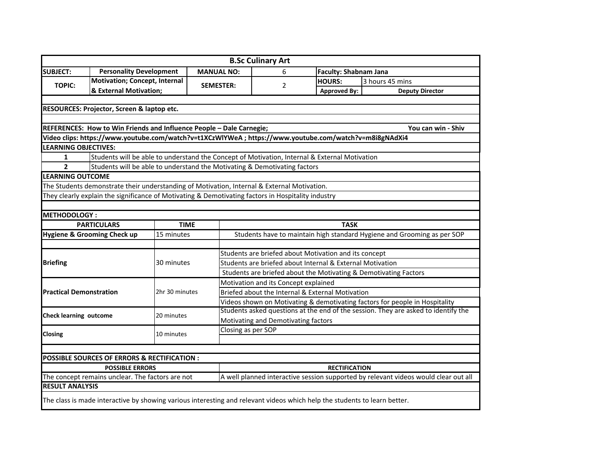|                                                                                                               |                                                                           |                |                                                                                                        | <b>B.Sc Culinary Art</b>                                                            |                                                  |                                                                                    |  |  |  |
|---------------------------------------------------------------------------------------------------------------|---------------------------------------------------------------------------|----------------|--------------------------------------------------------------------------------------------------------|-------------------------------------------------------------------------------------|--------------------------------------------------|------------------------------------------------------------------------------------|--|--|--|
| <b>SUBJECT:</b>                                                                                               | <b>Personality Development</b>                                            |                | <b>MANUAL NO:</b>                                                                                      | 6                                                                                   | <b>Faculty: Shabnam Jana</b>                     |                                                                                    |  |  |  |
|                                                                                                               | <b>Motivation; Concept, Internal</b>                                      |                |                                                                                                        |                                                                                     | <b>HOURS:</b>                                    | 3 hours 45 mins                                                                    |  |  |  |
| <b>TOPIC:</b>                                                                                                 | & External Motivation;                                                    |                | <b>SEMESTER:</b>                                                                                       | $\overline{2}$                                                                      | <b>Approved By:</b>                              | <b>Deputy Director</b>                                                             |  |  |  |
|                                                                                                               |                                                                           |                |                                                                                                        |                                                                                     |                                                  |                                                                                    |  |  |  |
|                                                                                                               | RESOURCES: Projector, Screen & laptop etc.                                |                |                                                                                                        |                                                                                     |                                                  |                                                                                    |  |  |  |
|                                                                                                               |                                                                           |                |                                                                                                        |                                                                                     |                                                  |                                                                                    |  |  |  |
|                                                                                                               |                                                                           |                | REFERENCES: How to Win Friends and Influence People - Dale Carnegie;                                   |                                                                                     |                                                  | You can win - Shiv                                                                 |  |  |  |
|                                                                                                               |                                                                           |                | Video clips: https://www.youtube.com/watch?v=t1XCzWlYWeA ; https://www.youtube.com/watch?v=m8i8gNAdXi4 |                                                                                     |                                                  |                                                                                    |  |  |  |
| <b>LEARNING OBJECTIVES:</b>                                                                                   |                                                                           |                |                                                                                                        |                                                                                     |                                                  |                                                                                    |  |  |  |
| Students will be able to understand the Concept of Motivation, Internal & External Motivation<br>$\mathbf{1}$ |                                                                           |                |                                                                                                        |                                                                                     |                                                  |                                                                                    |  |  |  |
| $\overline{2}$                                                                                                | Students will be able to understand the Motivating & Demotivating factors |                |                                                                                                        |                                                                                     |                                                  |                                                                                    |  |  |  |
| <b>LEARNING OUTCOME</b>                                                                                       |                                                                           |                |                                                                                                        |                                                                                     |                                                  |                                                                                    |  |  |  |
|                                                                                                               |                                                                           |                | The Students demonstrate their understanding of Motivation, Internal & External Motivation.            |                                                                                     |                                                  |                                                                                    |  |  |  |
|                                                                                                               |                                                                           |                | They clearly explain the significance of Motivating & Demotivating factors in Hospitality industry     |                                                                                     |                                                  |                                                                                    |  |  |  |
|                                                                                                               |                                                                           |                |                                                                                                        |                                                                                     |                                                  |                                                                                    |  |  |  |
| <b>METHODOLOGY:</b>                                                                                           |                                                                           |                |                                                                                                        |                                                                                     |                                                  |                                                                                    |  |  |  |
|                                                                                                               | <b>PARTICULARS</b>                                                        | <b>TIME</b>    |                                                                                                        |                                                                                     | <b>TASK</b>                                      |                                                                                    |  |  |  |
|                                                                                                               | <b>Hygiene &amp; Grooming Check up</b>                                    | 15 minutes     |                                                                                                        | Students have to maintain high standard Hygiene and Grooming as per SOP             |                                                  |                                                                                    |  |  |  |
|                                                                                                               |                                                                           |                |                                                                                                        |                                                                                     |                                                  |                                                                                    |  |  |  |
|                                                                                                               |                                                                           |                |                                                                                                        | Students are briefed about Motivation and its concept                               |                                                  |                                                                                    |  |  |  |
| <b>Briefing</b>                                                                                               |                                                                           | 30 minutes     |                                                                                                        | Students are briefed about Internal & External Motivation                           |                                                  |                                                                                    |  |  |  |
|                                                                                                               |                                                                           |                |                                                                                                        | Students are briefed about the Motivating & Demotivating Factors                    |                                                  |                                                                                    |  |  |  |
|                                                                                                               |                                                                           |                |                                                                                                        | Motivation and its Concept explained                                                |                                                  |                                                                                    |  |  |  |
| <b>Practical Demonstration</b>                                                                                |                                                                           | 2hr 30 minutes |                                                                                                        |                                                                                     | Briefed about the Internal & External Motivation |                                                                                    |  |  |  |
|                                                                                                               |                                                                           |                |                                                                                                        |                                                                                     |                                                  | Videos shown on Motivating & demotivating factors for people in Hospitality        |  |  |  |
|                                                                                                               |                                                                           |                |                                                                                                        |                                                                                     |                                                  | Students asked questions at the end of the session. They are asked to identify the |  |  |  |
| <b>Check learning outcome</b>                                                                                 |                                                                           | 20 minutes     |                                                                                                        | Motivating and Demotivating factors                                                 |                                                  |                                                                                    |  |  |  |
|                                                                                                               |                                                                           |                | Closing as per SOP                                                                                     |                                                                                     |                                                  |                                                                                    |  |  |  |
| Closing                                                                                                       |                                                                           | 10 minutes     |                                                                                                        |                                                                                     |                                                  |                                                                                    |  |  |  |
|                                                                                                               |                                                                           |                |                                                                                                        |                                                                                     |                                                  |                                                                                    |  |  |  |
|                                                                                                               | POSSIBLE SOURCES OF ERRORS & RECTIFICATION :                              |                |                                                                                                        |                                                                                     |                                                  |                                                                                    |  |  |  |
|                                                                                                               | <b>POSSIBLE ERRORS</b>                                                    |                |                                                                                                        | <b>RECTIFICATION</b>                                                                |                                                  |                                                                                    |  |  |  |
|                                                                                                               | The concept remains unclear. The factors are not                          |                |                                                                                                        | A well planned interactive session supported by relevant videos would clear out all |                                                  |                                                                                    |  |  |  |
| <b>RESULT ANALYSIS</b>                                                                                        |                                                                           |                |                                                                                                        |                                                                                     |                                                  |                                                                                    |  |  |  |
|                                                                                                               |                                                                           |                |                                                                                                        |                                                                                     |                                                  |                                                                                    |  |  |  |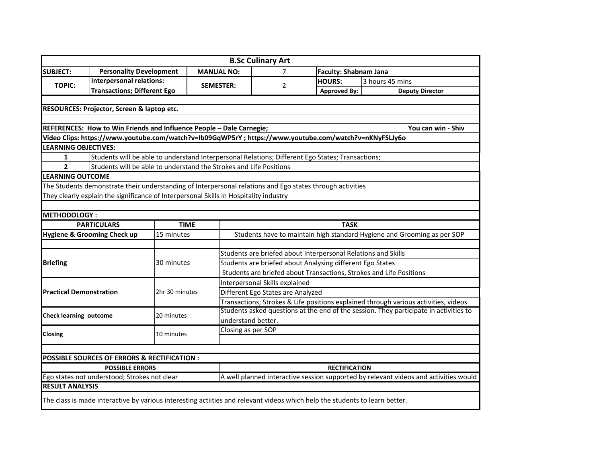|                                |                                                                                                                             |                |                   | <b>B.Sc Culinary Art</b>                                                             |                |                                                               |                                                                                       |  |  |
|--------------------------------|-----------------------------------------------------------------------------------------------------------------------------|----------------|-------------------|--------------------------------------------------------------------------------------|----------------|---------------------------------------------------------------|---------------------------------------------------------------------------------------|--|--|
| <b>SUBJECT:</b>                | <b>Personality Development</b>                                                                                              |                | <b>MANUAL NO:</b> |                                                                                      | $\overline{7}$ | <b>Faculty: Shabnam Jana</b>                                  |                                                                                       |  |  |
|                                | <b>Interpersonal relations:</b>                                                                                             |                |                   |                                                                                      |                | <b>HOURS:</b>                                                 | 3 hours 45 mins                                                                       |  |  |
| <b>TOPIC:</b>                  | <b>Transactions; Different Ego</b>                                                                                          |                | <b>SEMESTER:</b>  |                                                                                      | 2              | <b>Approved By:</b>                                           | <b>Deputy Director</b>                                                                |  |  |
|                                |                                                                                                                             |                |                   |                                                                                      |                |                                                               |                                                                                       |  |  |
|                                | RESOURCES: Projector, Screen & laptop etc.                                                                                  |                |                   |                                                                                      |                |                                                               |                                                                                       |  |  |
|                                |                                                                                                                             |                |                   |                                                                                      |                |                                                               |                                                                                       |  |  |
|                                | REFERENCES: How to Win Friends and Influence People - Dale Carnegie;                                                        |                |                   |                                                                                      |                |                                                               | You can win - Shiv                                                                    |  |  |
|                                | Video Clips: https://www.youtube.com/watch?v=Ib09GqWP5rY ; https://www.youtube.com/watch?v=nKNyFSLJy6o                      |                |                   |                                                                                      |                |                                                               |                                                                                       |  |  |
| <b>LEARNING OBJECTIVES:</b>    |                                                                                                                             |                |                   |                                                                                      |                |                                                               |                                                                                       |  |  |
| $\mathbf{1}$                   | Students will be able to understand Interpersonal Relations; Different Ego States; Transactions;                            |                |                   |                                                                                      |                |                                                               |                                                                                       |  |  |
| $\overline{2}$                 | Students will be able to understand the Strokes and Life Positions                                                          |                |                   |                                                                                      |                |                                                               |                                                                                       |  |  |
| <b>LEARNING OUTCOME</b>        |                                                                                                                             |                |                   |                                                                                      |                |                                                               |                                                                                       |  |  |
|                                | The Students demonstrate their understanding of Interpersonal relations and Ego states through activities                   |                |                   |                                                                                      |                |                                                               |                                                                                       |  |  |
|                                | They clearly explain the significance of Interpersonal Skills in Hospitality industry                                       |                |                   |                                                                                      |                |                                                               |                                                                                       |  |  |
|                                |                                                                                                                             |                |                   |                                                                                      |                |                                                               |                                                                                       |  |  |
| <b>METHODOLOGY:</b>            |                                                                                                                             |                |                   |                                                                                      |                |                                                               |                                                                                       |  |  |
|                                | <b>PARTICULARS</b>                                                                                                          | <b>TIME</b>    |                   |                                                                                      |                | <b>TASK</b>                                                   |                                                                                       |  |  |
|                                | Hygiene & Grooming Check up                                                                                                 | 15 minutes     |                   | Students have to maintain high standard Hygiene and Grooming as per SOP              |                |                                                               |                                                                                       |  |  |
|                                |                                                                                                                             |                |                   |                                                                                      |                |                                                               |                                                                                       |  |  |
|                                |                                                                                                                             |                |                   |                                                                                      |                | Students are briefed about Interpersonal Relations and Skills |                                                                                       |  |  |
| <b>Briefing</b>                |                                                                                                                             | 30 minutes     |                   | Students are briefed about Analysing different Ego States                            |                |                                                               |                                                                                       |  |  |
|                                |                                                                                                                             |                |                   | Students are briefed about Transactions, Strokes and Life Positions                  |                |                                                               |                                                                                       |  |  |
|                                |                                                                                                                             |                |                   | Interpersonal Skills explained                                                       |                |                                                               |                                                                                       |  |  |
| <b>Practical Demonstration</b> |                                                                                                                             | 2hr 30 minutes |                   | Different Ego States are Analyzed                                                    |                |                                                               |                                                                                       |  |  |
|                                |                                                                                                                             |                |                   |                                                                                      |                |                                                               | Transactions; Strokes & Life positions explained through various activities, videos   |  |  |
|                                |                                                                                                                             |                |                   |                                                                                      |                |                                                               | Students asked questions at the end of the session. They participate in activities to |  |  |
| <b>Check learning outcome</b>  |                                                                                                                             | 20 minutes     |                   | understand better.                                                                   |                |                                                               |                                                                                       |  |  |
|                                |                                                                                                                             |                |                   | Closing as per SOP                                                                   |                |                                                               |                                                                                       |  |  |
| Closing                        |                                                                                                                             | 10 minutes     |                   |                                                                                      |                |                                                               |                                                                                       |  |  |
|                                |                                                                                                                             |                |                   |                                                                                      |                |                                                               |                                                                                       |  |  |
|                                | <b>POSSIBLE SOURCES OF ERRORS &amp; RECTIFICATION:</b>                                                                      |                |                   |                                                                                      |                |                                                               |                                                                                       |  |  |
|                                | <b>POSSIBLE ERRORS</b>                                                                                                      |                |                   |                                                                                      |                | <b>RECTIFICATION</b>                                          |                                                                                       |  |  |
|                                | Ego states not understood; Strokes not clear                                                                                |                |                   | A well planned interactive session supported by relevant videos and activities would |                |                                                               |                                                                                       |  |  |
| <b>RESULT ANALYSIS</b>         |                                                                                                                             |                |                   |                                                                                      |                |                                                               |                                                                                       |  |  |
|                                |                                                                                                                             |                |                   |                                                                                      |                |                                                               |                                                                                       |  |  |
|                                | The class is made interactive by various interesting actiities and relevant videos which help the students to learn better. |                |                   |                                                                                      |                |                                                               |                                                                                       |  |  |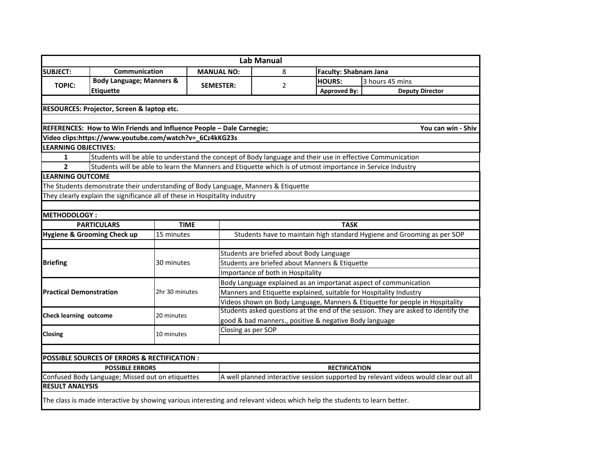|                                |                                                                                                                                                                                                                         |                |                   | <b>Lab Manual</b>                                                                                           |  |                                  |                                                                                    |  |  |  |
|--------------------------------|-------------------------------------------------------------------------------------------------------------------------------------------------------------------------------------------------------------------------|----------------|-------------------|-------------------------------------------------------------------------------------------------------------|--|----------------------------------|------------------------------------------------------------------------------------|--|--|--|
| <b>SUBJECT:</b>                | Communication                                                                                                                                                                                                           |                | <b>MANUAL NO:</b> | 8                                                                                                           |  | <b>Faculty: Shabnam Jana</b>     |                                                                                    |  |  |  |
|                                | <b>Body Language; Manners &amp;</b>                                                                                                                                                                                     |                |                   |                                                                                                             |  | <b>HOURS:</b><br>3 hours 45 mins |                                                                                    |  |  |  |
| <b>TOPIC:</b>                  | <b>Etiquette</b>                                                                                                                                                                                                        |                | <b>SEMESTER:</b>  | 2                                                                                                           |  | <b>Approved By:</b>              | <b>Deputy Director</b>                                                             |  |  |  |
|                                |                                                                                                                                                                                                                         |                |                   |                                                                                                             |  |                                  |                                                                                    |  |  |  |
|                                | RESOURCES: Projector, Screen & laptop etc.                                                                                                                                                                              |                |                   |                                                                                                             |  |                                  |                                                                                    |  |  |  |
|                                |                                                                                                                                                                                                                         |                |                   |                                                                                                             |  |                                  |                                                                                    |  |  |  |
|                                | REFERENCES: How to Win Friends and Influence People - Dale Carnegie;                                                                                                                                                    |                |                   |                                                                                                             |  |                                  | You can win - Shiv                                                                 |  |  |  |
|                                | Video clips:https://www.youtube.com/watch?v=_6Cz4kKG23s                                                                                                                                                                 |                |                   |                                                                                                             |  |                                  |                                                                                    |  |  |  |
| <b>LEARNING OBJECTIVES:</b>    |                                                                                                                                                                                                                         |                |                   |                                                                                                             |  |                                  |                                                                                    |  |  |  |
| 1                              |                                                                                                                                                                                                                         |                |                   |                                                                                                             |  |                                  |                                                                                    |  |  |  |
| $\overline{2}$                 | Students will be able to understand the concept of Body language and their use in effective Communication<br>Students will be able to learn the Manners and Etiquette which is of utmost importance in Service Industry |                |                   |                                                                                                             |  |                                  |                                                                                    |  |  |  |
| <b>LEARNING OUTCOME</b>        |                                                                                                                                                                                                                         |                |                   |                                                                                                             |  |                                  |                                                                                    |  |  |  |
|                                | The Students demonstrate their understanding of Body Language, Manners & Etiquette                                                                                                                                      |                |                   |                                                                                                             |  |                                  |                                                                                    |  |  |  |
|                                | They clearly explain the significance all of these in Hospitality industry                                                                                                                                              |                |                   |                                                                                                             |  |                                  |                                                                                    |  |  |  |
|                                |                                                                                                                                                                                                                         |                |                   |                                                                                                             |  |                                  |                                                                                    |  |  |  |
| <b>METHODOLOGY:</b>            |                                                                                                                                                                                                                         |                |                   |                                                                                                             |  |                                  |                                                                                    |  |  |  |
|                                | <b>PARTICULARS</b>                                                                                                                                                                                                      | <b>TIME</b>    |                   |                                                                                                             |  | <b>TASK</b>                      |                                                                                    |  |  |  |
|                                | <b>Hygiene &amp; Grooming Check up</b>                                                                                                                                                                                  | 15 minutes     |                   |                                                                                                             |  |                                  | Students have to maintain high standard Hygiene and Grooming as per SOP            |  |  |  |
|                                |                                                                                                                                                                                                                         |                |                   |                                                                                                             |  |                                  |                                                                                    |  |  |  |
|                                |                                                                                                                                                                                                                         |                |                   | Students are briefed about Body Language                                                                    |  |                                  |                                                                                    |  |  |  |
| <b>Briefing</b>                |                                                                                                                                                                                                                         | 30 minutes     |                   | Students are briefed about Manners & Etiquette                                                              |  |                                  |                                                                                    |  |  |  |
|                                |                                                                                                                                                                                                                         |                |                   | Importance of both in Hospitality                                                                           |  |                                  |                                                                                    |  |  |  |
|                                |                                                                                                                                                                                                                         |                |                   | Body Language explained as an importanat aspect of communication                                            |  |                                  |                                                                                    |  |  |  |
| <b>Practical Demonstration</b> |                                                                                                                                                                                                                         | 2hr 30 minutes |                   | Manners and Etiquette explained, suitable for Hospitality Industry                                          |  |                                  |                                                                                    |  |  |  |
|                                |                                                                                                                                                                                                                         |                |                   | Videos shown on Body Language, Manners & Etiquette for people in Hospitality                                |  |                                  |                                                                                    |  |  |  |
|                                |                                                                                                                                                                                                                         |                |                   |                                                                                                             |  |                                  | Students asked questions at the end of the session. They are asked to identify the |  |  |  |
| <b>Check learning outcome</b>  |                                                                                                                                                                                                                         | 20 minutes     |                   | good & bad manners., positive & negative Body language                                                      |  |                                  |                                                                                    |  |  |  |
|                                |                                                                                                                                                                                                                         |                |                   | Closing as per SOP                                                                                          |  |                                  |                                                                                    |  |  |  |
| Closing                        |                                                                                                                                                                                                                         | 10 minutes     |                   |                                                                                                             |  |                                  |                                                                                    |  |  |  |
|                                |                                                                                                                                                                                                                         |                |                   |                                                                                                             |  |                                  |                                                                                    |  |  |  |
|                                | POSSIBLE SOURCES OF ERRORS & RECTIFICATION :                                                                                                                                                                            |                |                   |                                                                                                             |  |                                  |                                                                                    |  |  |  |
|                                | <b>POSSIBLE ERRORS</b>                                                                                                                                                                                                  |                |                   |                                                                                                             |  |                                  |                                                                                    |  |  |  |
|                                | Confused Body Language; Missed out on etiquettes                                                                                                                                                                        |                |                   | <b>RECTIFICATION</b><br>A well planned interactive session supported by relevant videos would clear out all |  |                                  |                                                                                    |  |  |  |
| <b>RESULT ANALYSIS</b>         |                                                                                                                                                                                                                         |                |                   |                                                                                                             |  |                                  |                                                                                    |  |  |  |
|                                |                                                                                                                                                                                                                         |                |                   |                                                                                                             |  |                                  |                                                                                    |  |  |  |
|                                | The class is made interactive by showing various interesting and relevant videos which help the students to learn better.                                                                                               |                |                   |                                                                                                             |  |                                  |                                                                                    |  |  |  |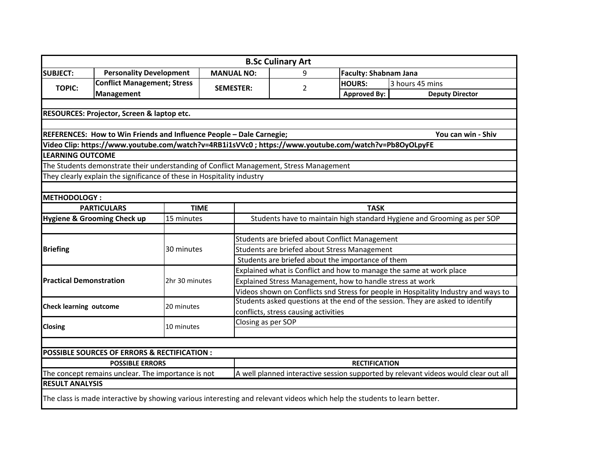|                                |                                                                                                                           |                |                   |                                                                                     | <b>B.Sc Culinary Art</b>                          |                              |                        |  |  |  |
|--------------------------------|---------------------------------------------------------------------------------------------------------------------------|----------------|-------------------|-------------------------------------------------------------------------------------|---------------------------------------------------|------------------------------|------------------------|--|--|--|
| <b>SUBJECT:</b>                | <b>Personality Development</b>                                                                                            |                | <b>MANUAL NO:</b> |                                                                                     | 9                                                 | <b>Faculty: Shabnam Jana</b> |                        |  |  |  |
| <b>TOPIC:</b>                  | <b>Conflict Management; Stress</b>                                                                                        |                |                   | <b>SEMESTER:</b>                                                                    |                                                   | <b>HOURS:</b>                | 3 hours 45 mins        |  |  |  |
|                                | <b>Management</b>                                                                                                         |                |                   |                                                                                     | 2                                                 | <b>Approved By:</b>          | <b>Deputy Director</b> |  |  |  |
|                                |                                                                                                                           |                |                   |                                                                                     |                                                   |                              |                        |  |  |  |
|                                | RESOURCES: Projector, Screen & laptop etc.                                                                                |                |                   |                                                                                     |                                                   |                              |                        |  |  |  |
|                                |                                                                                                                           |                |                   |                                                                                     |                                                   |                              |                        |  |  |  |
|                                | REFERENCES: How to Win Friends and Influence People - Dale Carnegie;                                                      |                |                   |                                                                                     |                                                   |                              | You can win - Shiv     |  |  |  |
|                                | Video Clip: https://www.youtube.com/watch?v=4RB1i1sVVc0 ; https://www.youtube.com/watch?v=Pb8OyOLpyFE                     |                |                   |                                                                                     |                                                   |                              |                        |  |  |  |
| <b>LEARNING OUTCOME</b>        |                                                                                                                           |                |                   |                                                                                     |                                                   |                              |                        |  |  |  |
|                                | The Students demonstrate their understanding of Conflict Management, Stress Management                                    |                |                   |                                                                                     |                                                   |                              |                        |  |  |  |
|                                | They clearly explain the significance of these in Hospitality industry                                                    |                |                   |                                                                                     |                                                   |                              |                        |  |  |  |
|                                |                                                                                                                           |                |                   |                                                                                     |                                                   |                              |                        |  |  |  |
| <b>METHODOLOGY:</b>            |                                                                                                                           |                |                   |                                                                                     |                                                   |                              |                        |  |  |  |
|                                | <b>PARTICULARS</b>                                                                                                        | <b>TIME</b>    |                   | <b>TASK</b>                                                                         |                                                   |                              |                        |  |  |  |
|                                | <b>Hygiene &amp; Grooming Check up</b>                                                                                    | 15 minutes     |                   | Students have to maintain high standard Hygiene and Grooming as per SOP             |                                                   |                              |                        |  |  |  |
|                                |                                                                                                                           |                |                   |                                                                                     |                                                   |                              |                        |  |  |  |
|                                |                                                                                                                           |                |                   | Students are briefed about Conflict Management                                      |                                                   |                              |                        |  |  |  |
| <b>Briefing</b>                |                                                                                                                           | 30 minutes     |                   | Students are briefed about Stress Management                                        |                                                   |                              |                        |  |  |  |
|                                |                                                                                                                           |                |                   |                                                                                     | Students are briefed about the importance of them |                              |                        |  |  |  |
|                                |                                                                                                                           |                |                   | Explained what is Conflict and how to manage the same at work place                 |                                                   |                              |                        |  |  |  |
| <b>Practical Demonstration</b> |                                                                                                                           | 2hr 30 minutes |                   | Explained Stress Management, how to handle stress at work                           |                                                   |                              |                        |  |  |  |
|                                |                                                                                                                           |                |                   | Videos shown on Conflicts snd Stress for people in Hospitality Industry and ways to |                                                   |                              |                        |  |  |  |
|                                |                                                                                                                           |                |                   | Students asked questions at the end of the session. They are asked to identify      |                                                   |                              |                        |  |  |  |
| <b>Check learning outcome</b>  |                                                                                                                           | 20 minutes     |                   | conflicts, stress causing activities                                                |                                                   |                              |                        |  |  |  |
|                                |                                                                                                                           |                |                   | Closing as per SOP                                                                  |                                                   |                              |                        |  |  |  |
| <b>Closing</b>                 |                                                                                                                           | 10 minutes     |                   |                                                                                     |                                                   |                              |                        |  |  |  |
|                                |                                                                                                                           |                |                   |                                                                                     |                                                   |                              |                        |  |  |  |
|                                | POSSIBLE SOURCES OF ERRORS & RECTIFICATION :                                                                              |                |                   |                                                                                     |                                                   |                              |                        |  |  |  |
|                                | <b>POSSIBLE ERRORS</b>                                                                                                    |                |                   |                                                                                     |                                                   | <b>RECTIFICATION</b>         |                        |  |  |  |
|                                | The concept remains unclear. The importance is not                                                                        |                |                   | A well planned interactive session supported by relevant videos would clear out all |                                                   |                              |                        |  |  |  |
| <b>RESULT ANALYSIS</b>         |                                                                                                                           |                |                   |                                                                                     |                                                   |                              |                        |  |  |  |
|                                | The class is made interactive by showing various interesting and relevant videos which help the students to learn better. |                |                   |                                                                                     |                                                   |                              |                        |  |  |  |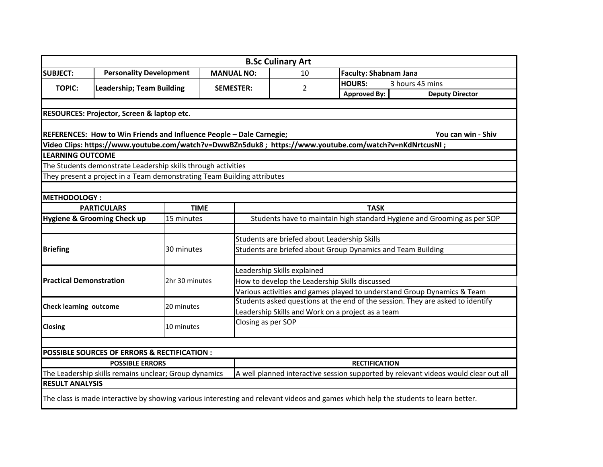|                                |                                                                                                        |                |                                                                         | <b>B.Sc Culinary Art</b>                                                       |                              |                                                                                                                                     |  |  |  |  |
|--------------------------------|--------------------------------------------------------------------------------------------------------|----------------|-------------------------------------------------------------------------|--------------------------------------------------------------------------------|------------------------------|-------------------------------------------------------------------------------------------------------------------------------------|--|--|--|--|
| <b>SUBJECT:</b>                | <b>Personality Development</b>                                                                         |                | <b>MANUAL NO:</b>                                                       | 10                                                                             | <b>Faculty: Shabnam Jana</b> |                                                                                                                                     |  |  |  |  |
|                                |                                                                                                        |                |                                                                         |                                                                                | <b>HOURS:</b>                | 3 hours 45 mins                                                                                                                     |  |  |  |  |
| <b>TOPIC:</b>                  | <b>Leadership; Team Building</b>                                                                       |                | <b>SEMESTER:</b>                                                        | 2                                                                              | <b>Approved By:</b>          | <b>Deputy Director</b>                                                                                                              |  |  |  |  |
|                                |                                                                                                        |                |                                                                         |                                                                                |                              |                                                                                                                                     |  |  |  |  |
|                                | RESOURCES: Projector, Screen & laptop etc.                                                             |                |                                                                         |                                                                                |                              |                                                                                                                                     |  |  |  |  |
|                                |                                                                                                        |                |                                                                         |                                                                                |                              |                                                                                                                                     |  |  |  |  |
|                                | REFERENCES: How to Win Friends and Influence People - Dale Carnegie;                                   |                |                                                                         |                                                                                |                              | You can win - Shiv                                                                                                                  |  |  |  |  |
|                                | Video Clips: https://www.youtube.com/watch?v=DwwBZn5duk8; https://www.youtube.com/watch?v=nKdNrtcusNI; |                |                                                                         |                                                                                |                              |                                                                                                                                     |  |  |  |  |
| <b>LEARNING OUTCOME</b>        |                                                                                                        |                |                                                                         |                                                                                |                              |                                                                                                                                     |  |  |  |  |
|                                | The Students demonstrate Leadership skills through activities                                          |                |                                                                         |                                                                                |                              |                                                                                                                                     |  |  |  |  |
|                                | They present a project in a Team demonstrating Team Building attributes                                |                |                                                                         |                                                                                |                              |                                                                                                                                     |  |  |  |  |
|                                |                                                                                                        |                |                                                                         |                                                                                |                              |                                                                                                                                     |  |  |  |  |
| <b>METHODOLOGY:</b>            |                                                                                                        |                |                                                                         |                                                                                |                              |                                                                                                                                     |  |  |  |  |
|                                | <b>PARTICULARS</b>                                                                                     | <b>TIME</b>    |                                                                         | <b>TASK</b>                                                                    |                              |                                                                                                                                     |  |  |  |  |
|                                | <b>Hygiene &amp; Grooming Check up</b>                                                                 | 15 minutes     |                                                                         | Students have to maintain high standard Hygiene and Grooming as per SOP        |                              |                                                                                                                                     |  |  |  |  |
|                                |                                                                                                        |                |                                                                         |                                                                                |                              |                                                                                                                                     |  |  |  |  |
|                                |                                                                                                        |                | Students are briefed about Leadership Skills                            |                                                                                |                              |                                                                                                                                     |  |  |  |  |
| <b>Briefing</b>                |                                                                                                        | 30 minutes     | Students are briefed about Group Dynamics and Team Building             |                                                                                |                              |                                                                                                                                     |  |  |  |  |
|                                |                                                                                                        |                |                                                                         |                                                                                |                              |                                                                                                                                     |  |  |  |  |
|                                |                                                                                                        |                | Leadership Skills explained                                             |                                                                                |                              |                                                                                                                                     |  |  |  |  |
| <b>Practical Demonstration</b> |                                                                                                        | 2hr 30 minutes | How to develop the Leadership Skills discussed                          |                                                                                |                              |                                                                                                                                     |  |  |  |  |
|                                |                                                                                                        |                | Various activities and games played to understand Group Dynamics & Team |                                                                                |                              |                                                                                                                                     |  |  |  |  |
| <b>Check learning outcome</b>  |                                                                                                        | 20 minutes     |                                                                         | Students asked questions at the end of the session. They are asked to identify |                              |                                                                                                                                     |  |  |  |  |
|                                |                                                                                                        |                |                                                                         | Leadership Skills and Work on a project as a team                              |                              |                                                                                                                                     |  |  |  |  |
| Closing                        |                                                                                                        | 10 minutes     |                                                                         | Closing as per SOP                                                             |                              |                                                                                                                                     |  |  |  |  |
|                                |                                                                                                        |                |                                                                         |                                                                                |                              |                                                                                                                                     |  |  |  |  |
|                                |                                                                                                        |                |                                                                         |                                                                                |                              |                                                                                                                                     |  |  |  |  |
|                                | POSSIBLE SOURCES OF ERRORS & RECTIFICATION :                                                           |                |                                                                         |                                                                                |                              |                                                                                                                                     |  |  |  |  |
|                                | <b>POSSIBLE ERRORS</b>                                                                                 |                |                                                                         |                                                                                | <b>RECTIFICATION</b>         |                                                                                                                                     |  |  |  |  |
|                                | The Leadership skills remains unclear; Group dynamics                                                  |                |                                                                         |                                                                                |                              | A well planned interactive session supported by relevant videos would clear out all                                                 |  |  |  |  |
| <b>RESULT ANALYSIS</b>         |                                                                                                        |                |                                                                         |                                                                                |                              |                                                                                                                                     |  |  |  |  |
|                                |                                                                                                        |                |                                                                         |                                                                                |                              | The class is made interactive by showing various interesting and relevant videos and games which help the students to learn better. |  |  |  |  |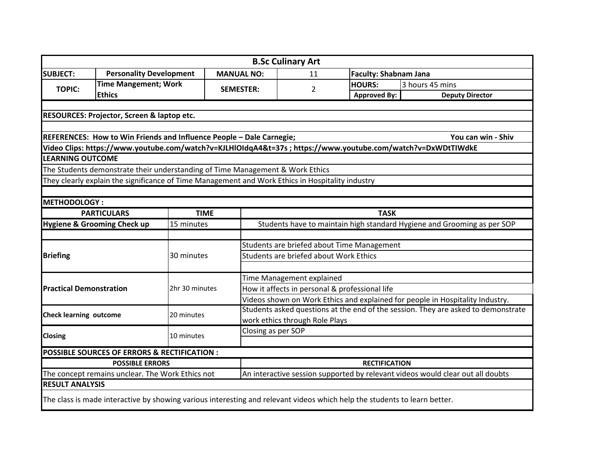| <b>SUBJECT:</b><br><b>Personality Development</b><br><b>MANUAL NO:</b><br>11<br><b>Time Mangement; Work</b><br><b>TOPIC:</b><br>2<br><b>SEMESTER:</b><br><b>Ethics</b><br>RESOURCES: Projector, Screen & laptop etc.<br>REFERENCES: How to Win Friends and Influence People - Dale Carnegie;<br>Video Clips: https://www.youtube.com/watch?v=KJLHlOIdqA4&t=37s ; https://www.youtube.com/watch?v=DxWDtTIWdkE<br><b>LEARNING OUTCOME</b><br>The Students demonstrate their understanding of Time Management & Work Ethics<br>They clearly explain the significance of Time Management and Work Ethics in Hospitality industry<br><b>METHODOLOGY:</b><br><b>PARTICULARS</b><br><b>TIME</b><br><b>Hygiene &amp; Grooming Check up</b><br>15 minutes | <b>Faculty: Shabnam Jana</b><br><b>HOURS:</b><br><b>Approved By:</b>              | 3 hours 45 mins        |  |  |  |  |
|--------------------------------------------------------------------------------------------------------------------------------------------------------------------------------------------------------------------------------------------------------------------------------------------------------------------------------------------------------------------------------------------------------------------------------------------------------------------------------------------------------------------------------------------------------------------------------------------------------------------------------------------------------------------------------------------------------------------------------------------------|-----------------------------------------------------------------------------------|------------------------|--|--|--|--|
|                                                                                                                                                                                                                                                                                                                                                                                                                                                                                                                                                                                                                                                                                                                                                  |                                                                                   |                        |  |  |  |  |
|                                                                                                                                                                                                                                                                                                                                                                                                                                                                                                                                                                                                                                                                                                                                                  |                                                                                   |                        |  |  |  |  |
|                                                                                                                                                                                                                                                                                                                                                                                                                                                                                                                                                                                                                                                                                                                                                  |                                                                                   | <b>Deputy Director</b> |  |  |  |  |
|                                                                                                                                                                                                                                                                                                                                                                                                                                                                                                                                                                                                                                                                                                                                                  |                                                                                   |                        |  |  |  |  |
|                                                                                                                                                                                                                                                                                                                                                                                                                                                                                                                                                                                                                                                                                                                                                  |                                                                                   |                        |  |  |  |  |
|                                                                                                                                                                                                                                                                                                                                                                                                                                                                                                                                                                                                                                                                                                                                                  |                                                                                   |                        |  |  |  |  |
|                                                                                                                                                                                                                                                                                                                                                                                                                                                                                                                                                                                                                                                                                                                                                  | You can win - Shiv                                                                |                        |  |  |  |  |
|                                                                                                                                                                                                                                                                                                                                                                                                                                                                                                                                                                                                                                                                                                                                                  |                                                                                   |                        |  |  |  |  |
|                                                                                                                                                                                                                                                                                                                                                                                                                                                                                                                                                                                                                                                                                                                                                  |                                                                                   |                        |  |  |  |  |
|                                                                                                                                                                                                                                                                                                                                                                                                                                                                                                                                                                                                                                                                                                                                                  |                                                                                   |                        |  |  |  |  |
|                                                                                                                                                                                                                                                                                                                                                                                                                                                                                                                                                                                                                                                                                                                                                  |                                                                                   |                        |  |  |  |  |
|                                                                                                                                                                                                                                                                                                                                                                                                                                                                                                                                                                                                                                                                                                                                                  |                                                                                   |                        |  |  |  |  |
|                                                                                                                                                                                                                                                                                                                                                                                                                                                                                                                                                                                                                                                                                                                                                  |                                                                                   |                        |  |  |  |  |
|                                                                                                                                                                                                                                                                                                                                                                                                                                                                                                                                                                                                                                                                                                                                                  | <b>TASK</b>                                                                       |                        |  |  |  |  |
|                                                                                                                                                                                                                                                                                                                                                                                                                                                                                                                                                                                                                                                                                                                                                  | Students have to maintain high standard Hygiene and Grooming as per SOP           |                        |  |  |  |  |
|                                                                                                                                                                                                                                                                                                                                                                                                                                                                                                                                                                                                                                                                                                                                                  |                                                                                   |                        |  |  |  |  |
|                                                                                                                                                                                                                                                                                                                                                                                                                                                                                                                                                                                                                                                                                                                                                  | Students are briefed about Time Management                                        |                        |  |  |  |  |
| <b>Briefing</b><br>30 minutes                                                                                                                                                                                                                                                                                                                                                                                                                                                                                                                                                                                                                                                                                                                    | Students are briefed about Work Ethics                                            |                        |  |  |  |  |
|                                                                                                                                                                                                                                                                                                                                                                                                                                                                                                                                                                                                                                                                                                                                                  |                                                                                   |                        |  |  |  |  |
|                                                                                                                                                                                                                                                                                                                                                                                                                                                                                                                                                                                                                                                                                                                                                  | Time Management explained                                                         |                        |  |  |  |  |
| <b>Practical Demonstration</b><br>2hr 30 minutes                                                                                                                                                                                                                                                                                                                                                                                                                                                                                                                                                                                                                                                                                                 | How it affects in personal & professional life                                    |                        |  |  |  |  |
|                                                                                                                                                                                                                                                                                                                                                                                                                                                                                                                                                                                                                                                                                                                                                  | Videos shown on Work Ethics and explained for people in Hospitality Industry.     |                        |  |  |  |  |
| <b>Check learning outcome</b><br>20 minutes                                                                                                                                                                                                                                                                                                                                                                                                                                                                                                                                                                                                                                                                                                      | Students asked questions at the end of the session. They are asked to demonstrate |                        |  |  |  |  |
|                                                                                                                                                                                                                                                                                                                                                                                                                                                                                                                                                                                                                                                                                                                                                  | work ethics through Role Plays                                                    |                        |  |  |  |  |
| Closing as per SOP<br><b>Closing</b><br>10 minutes                                                                                                                                                                                                                                                                                                                                                                                                                                                                                                                                                                                                                                                                                               |                                                                                   |                        |  |  |  |  |
|                                                                                                                                                                                                                                                                                                                                                                                                                                                                                                                                                                                                                                                                                                                                                  |                                                                                   |                        |  |  |  |  |
| POSSIBLE SOURCES OF ERRORS & RECTIFICATION :                                                                                                                                                                                                                                                                                                                                                                                                                                                                                                                                                                                                                                                                                                     |                                                                                   |                        |  |  |  |  |
| <b>POSSIBLE ERRORS</b>                                                                                                                                                                                                                                                                                                                                                                                                                                                                                                                                                                                                                                                                                                                           | <b>RECTIFICATION</b>                                                              |                        |  |  |  |  |
| The concept remains unclear. The Work Ethics not                                                                                                                                                                                                                                                                                                                                                                                                                                                                                                                                                                                                                                                                                                 | An interactive session supported by relevant videos would clear out all doubts    |                        |  |  |  |  |
| <b>RESULT ANALYSIS</b>                                                                                                                                                                                                                                                                                                                                                                                                                                                                                                                                                                                                                                                                                                                           |                                                                                   |                        |  |  |  |  |
| The class is made interactive by showing various interesting and relevant videos which help the students to learn better.                                                                                                                                                                                                                                                                                                                                                                                                                                                                                                                                                                                                                        |                                                                                   |                        |  |  |  |  |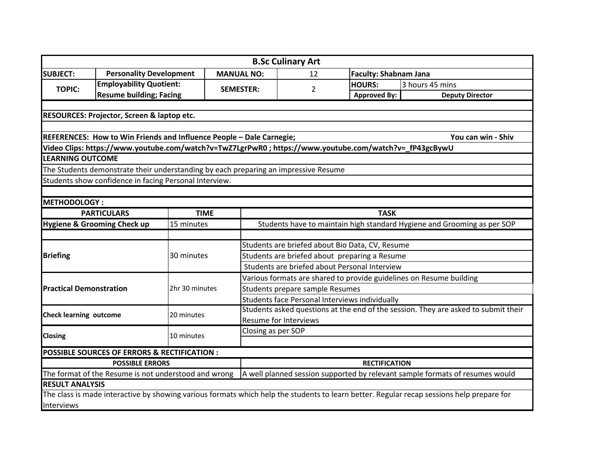|                                                      |                                                                                      |                                                                                                        |                                                                                    | <b>B.Sc Culinary Art</b> |                     |                                                                                                                                           |  |  |  |
|------------------------------------------------------|--------------------------------------------------------------------------------------|--------------------------------------------------------------------------------------------------------|------------------------------------------------------------------------------------|--------------------------|---------------------|-------------------------------------------------------------------------------------------------------------------------------------------|--|--|--|
| <b>SUBJECT:</b>                                      | <b>Personality Development</b>                                                       |                                                                                                        | <b>MANUAL NO:</b>                                                                  | 12                       |                     | <b>Faculty: Shabnam Jana</b>                                                                                                              |  |  |  |
|                                                      | <b>Employability Quotient:</b><br><b>SEMESTER:</b><br><b>Resume building; Facing</b> |                                                                                                        |                                                                                    |                          | <b>HOURS:</b>       | 3 hours 45 mins                                                                                                                           |  |  |  |
| <b>TOPIC:</b>                                        |                                                                                      |                                                                                                        |                                                                                    | $\overline{2}$           | <b>Approved By:</b> | <b>Deputy Director</b>                                                                                                                    |  |  |  |
|                                                      |                                                                                      |                                                                                                        |                                                                                    |                          |                     |                                                                                                                                           |  |  |  |
|                                                      | RESOURCES: Projector, Screen & laptop etc.                                           |                                                                                                        |                                                                                    |                          |                     |                                                                                                                                           |  |  |  |
|                                                      |                                                                                      |                                                                                                        |                                                                                    |                          |                     |                                                                                                                                           |  |  |  |
|                                                      |                                                                                      | REFERENCES: How to Win Friends and Influence People - Dale Carnegie;                                   |                                                                                    | You can win - Shiv       |                     |                                                                                                                                           |  |  |  |
|                                                      |                                                                                      | Video Clips: https://www.youtube.com/watch?v=TwZ7LgrPwR0 ; https://www.youtube.com/watch?v=_fP43gcBywU |                                                                                    |                          |                     |                                                                                                                                           |  |  |  |
| <b>LEARNING OUTCOME</b>                              |                                                                                      |                                                                                                        |                                                                                    |                          |                     |                                                                                                                                           |  |  |  |
|                                                      |                                                                                      | The Students demonstrate their understanding by each preparing an impressive Resume                    |                                                                                    |                          |                     |                                                                                                                                           |  |  |  |
|                                                      |                                                                                      | Students show confidence in facing Personal Interview.                                                 |                                                                                    |                          |                     |                                                                                                                                           |  |  |  |
|                                                      |                                                                                      |                                                                                                        |                                                                                    |                          |                     |                                                                                                                                           |  |  |  |
| <b>METHODOLOGY:</b>                                  |                                                                                      |                                                                                                        |                                                                                    |                          |                     |                                                                                                                                           |  |  |  |
|                                                      | <b>PARTICULARS</b>                                                                   | <b>TIME</b>                                                                                            | <b>TASK</b>                                                                        |                          |                     |                                                                                                                                           |  |  |  |
|                                                      | <b>Hygiene &amp; Grooming Check up</b>                                               | 15 minutes                                                                                             | Students have to maintain high standard Hygiene and Grooming as per SOP            |                          |                     |                                                                                                                                           |  |  |  |
|                                                      |                                                                                      |                                                                                                        |                                                                                    |                          |                     |                                                                                                                                           |  |  |  |
|                                                      |                                                                                      | 30 minutes                                                                                             | Students are briefed about Bio Data, CV, Resume                                    |                          |                     |                                                                                                                                           |  |  |  |
| <b>Briefing</b>                                      |                                                                                      |                                                                                                        | Students are briefed about preparing a Resume                                      |                          |                     |                                                                                                                                           |  |  |  |
|                                                      |                                                                                      |                                                                                                        | Students are briefed about Personal Interview                                      |                          |                     |                                                                                                                                           |  |  |  |
|                                                      |                                                                                      | 2hr 30 minutes                                                                                         | Various formats are shared to provide guidelines on Resume building                |                          |                     |                                                                                                                                           |  |  |  |
| <b>Practical Demonstration</b>                       |                                                                                      |                                                                                                        | Students prepare sample Resumes                                                    |                          |                     |                                                                                                                                           |  |  |  |
|                                                      |                                                                                      |                                                                                                        | Students face Personal Interviews individually                                     |                          |                     |                                                                                                                                           |  |  |  |
| <b>Check learning outcome</b>                        |                                                                                      | 20 minutes                                                                                             | Students asked questions at the end of the session. They are asked to submit their |                          |                     |                                                                                                                                           |  |  |  |
|                                                      |                                                                                      |                                                                                                        | <b>Resume for Interviews</b>                                                       |                          |                     |                                                                                                                                           |  |  |  |
| <b>Closing</b>                                       |                                                                                      | 10 minutes                                                                                             | Closing as per SOP                                                                 |                          |                     |                                                                                                                                           |  |  |  |
|                                                      |                                                                                      |                                                                                                        |                                                                                    |                          |                     |                                                                                                                                           |  |  |  |
|                                                      | <b>POSSIBLE SOURCES OF ERRORS &amp; RECTIFICATION:</b>                               |                                                                                                        |                                                                                    |                          |                     |                                                                                                                                           |  |  |  |
| <b>POSSIBLE ERRORS</b>                               |                                                                                      | <b>RECTIFICATION</b>                                                                                   |                                                                                    |                          |                     |                                                                                                                                           |  |  |  |
| The format of the Resume is not understood and wrong |                                                                                      |                                                                                                        | A well planned session supported by relevant sample formats of resumes would       |                          |                     |                                                                                                                                           |  |  |  |
| <b>RESULT ANALYSIS</b>                               |                                                                                      |                                                                                                        |                                                                                    |                          |                     |                                                                                                                                           |  |  |  |
|                                                      |                                                                                      |                                                                                                        |                                                                                    |                          |                     | The class is made interactive by showing various formats which help the students to learn better. Regular recap sessions help prepare for |  |  |  |
| Interviews                                           |                                                                                      |                                                                                                        |                                                                                    |                          |                     |                                                                                                                                           |  |  |  |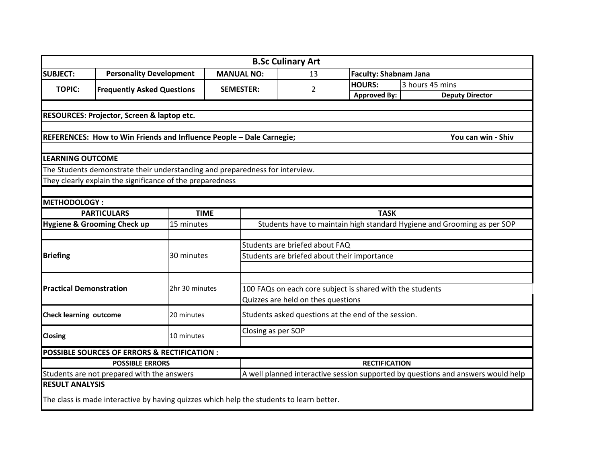|                                                                      |                                                                                          |                |                                                                                  |                                                                         | <b>B.Sc Culinary Art</b> |                     |                              |                        |  |
|----------------------------------------------------------------------|------------------------------------------------------------------------------------------|----------------|----------------------------------------------------------------------------------|-------------------------------------------------------------------------|--------------------------|---------------------|------------------------------|------------------------|--|
| <b>SUBJECT:</b>                                                      | <b>Personality Development</b>                                                           |                | <b>MANUAL NO:</b>                                                                |                                                                         | 13                       |                     | <b>Faculty: Shabnam Jana</b> |                        |  |
|                                                                      |                                                                                          |                |                                                                                  |                                                                         | $\overline{2}$           | <b>HOURS:</b>       |                              | 3 hours 45 mins        |  |
| <b>TOPIC:</b><br><b>Frequently Asked Questions</b>                   |                                                                                          |                | <b>SEMESTER:</b>                                                                 |                                                                         |                          | <b>Approved By:</b> |                              | <b>Deputy Director</b> |  |
|                                                                      |                                                                                          |                |                                                                                  |                                                                         |                          |                     |                              |                        |  |
|                                                                      | RESOURCES: Projector, Screen & laptop etc.                                               |                |                                                                                  |                                                                         |                          |                     |                              |                        |  |
|                                                                      |                                                                                          |                |                                                                                  |                                                                         |                          |                     |                              |                        |  |
| REFERENCES: How to Win Friends and Influence People - Dale Carnegie; |                                                                                          |                |                                                                                  |                                                                         |                          |                     |                              | You can win - Shiv     |  |
|                                                                      |                                                                                          |                |                                                                                  |                                                                         |                          |                     |                              |                        |  |
| <b>LEARNING OUTCOME</b>                                              |                                                                                          |                |                                                                                  |                                                                         |                          |                     |                              |                        |  |
|                                                                      | The Students demonstrate their understanding and preparedness for interview.             |                |                                                                                  |                                                                         |                          |                     |                              |                        |  |
|                                                                      | They clearly explain the significance of the preparedness                                |                |                                                                                  |                                                                         |                          |                     |                              |                        |  |
|                                                                      |                                                                                          |                |                                                                                  |                                                                         |                          |                     |                              |                        |  |
| <b>METHODOLOGY:</b>                                                  |                                                                                          |                |                                                                                  |                                                                         |                          |                     |                              |                        |  |
|                                                                      | <b>PARTICULARS</b>                                                                       | <b>TIME</b>    |                                                                                  | <b>TASK</b>                                                             |                          |                     |                              |                        |  |
|                                                                      | Hygiene & Grooming Check up                                                              | 15 minutes     |                                                                                  | Students have to maintain high standard Hygiene and Grooming as per SOP |                          |                     |                              |                        |  |
|                                                                      |                                                                                          |                |                                                                                  |                                                                         |                          |                     |                              |                        |  |
|                                                                      |                                                                                          | 30 minutes     |                                                                                  | Students are briefed about FAQ                                          |                          |                     |                              |                        |  |
| <b>Briefing</b>                                                      |                                                                                          |                |                                                                                  | Students are briefed about their importance                             |                          |                     |                              |                        |  |
|                                                                      |                                                                                          |                |                                                                                  |                                                                         |                          |                     |                              |                        |  |
| <b>Practical Demonstration</b>                                       |                                                                                          | 2hr 30 minutes |                                                                                  | 100 FAQs on each core subject is shared with the students               |                          |                     |                              |                        |  |
|                                                                      |                                                                                          |                |                                                                                  | Quizzes are held on thes questions                                      |                          |                     |                              |                        |  |
|                                                                      |                                                                                          |                |                                                                                  |                                                                         |                          |                     |                              |                        |  |
| <b>Check learning outcome</b>                                        |                                                                                          | 20 minutes     |                                                                                  | Students asked questions at the end of the session.                     |                          |                     |                              |                        |  |
|                                                                      |                                                                                          | 10 minutes     |                                                                                  | Closing as per SOP                                                      |                          |                     |                              |                        |  |
| <b>Closing</b>                                                       |                                                                                          |                |                                                                                  |                                                                         |                          |                     |                              |                        |  |
|                                                                      | POSSIBLE SOURCES OF ERRORS & RECTIFICATION :                                             |                |                                                                                  |                                                                         |                          |                     |                              |                        |  |
| <b>POSSIBLE ERRORS</b>                                               |                                                                                          |                | <b>RECTIFICATION</b>                                                             |                                                                         |                          |                     |                              |                        |  |
| Students are not prepared with the answers                           |                                                                                          |                | A well planned interactive session supported by questions and answers would help |                                                                         |                          |                     |                              |                        |  |
| <b>RESULT ANALYSIS</b>                                               |                                                                                          |                |                                                                                  |                                                                         |                          |                     |                              |                        |  |
|                                                                      | The class is made interactive by having quizzes which help the students to learn better. |                |                                                                                  |                                                                         |                          |                     |                              |                        |  |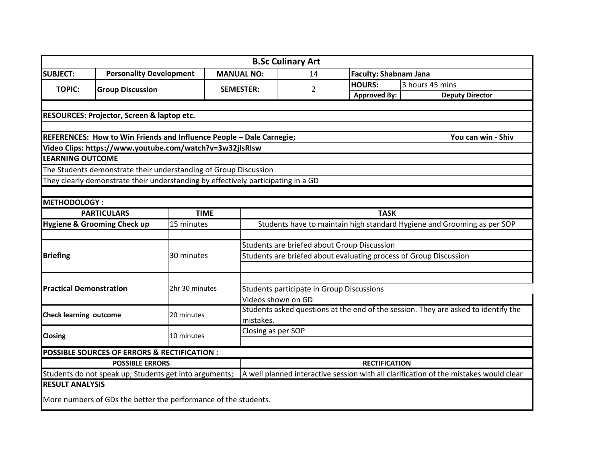|                                                        |                                                                                   |                |                                                                                    | <b>B.Sc Culinary Art</b> |                              |                                                                                       |  |  |
|--------------------------------------------------------|-----------------------------------------------------------------------------------|----------------|------------------------------------------------------------------------------------|--------------------------|------------------------------|---------------------------------------------------------------------------------------|--|--|
| <b>SUBJECT:</b>                                        | <b>Personality Development</b>                                                    |                | <b>MANUAL NO:</b>                                                                  | 14                       | <b>Faculty: Shabnam Jana</b> |                                                                                       |  |  |
|                                                        |                                                                                   |                |                                                                                    |                          | <b>HOURS:</b>                | 3 hours 45 mins                                                                       |  |  |
| <b>TOPIC:</b><br><b>Group Discussion</b>               |                                                                                   |                | <b>SEMESTER:</b>                                                                   | 2                        | <b>Approved By:</b>          | <b>Deputy Director</b>                                                                |  |  |
|                                                        |                                                                                   |                |                                                                                    |                          |                              |                                                                                       |  |  |
|                                                        | <b>RESOURCES: Projector, Screen &amp; laptop etc.</b>                             |                |                                                                                    |                          |                              |                                                                                       |  |  |
|                                                        |                                                                                   |                |                                                                                    |                          |                              |                                                                                       |  |  |
|                                                        | REFERENCES: How to Win Friends and Influence People - Dale Carnegie;              |                |                                                                                    |                          |                              | You can win - Shiv                                                                    |  |  |
|                                                        | Video Clips: https://www.youtube.com/watch?v=3w32jIsRlsw                          |                |                                                                                    |                          |                              |                                                                                       |  |  |
| <b>LEARNING OUTCOME</b>                                |                                                                                   |                |                                                                                    |                          |                              |                                                                                       |  |  |
|                                                        | The Students demonstrate their understanding of Group Discussion                  |                |                                                                                    |                          |                              |                                                                                       |  |  |
|                                                        | They clearly demonstrate their understanding by effectively participating in a GD |                |                                                                                    |                          |                              |                                                                                       |  |  |
|                                                        |                                                                                   |                |                                                                                    |                          |                              |                                                                                       |  |  |
| <b>METHODOLOGY:</b>                                    |                                                                                   |                |                                                                                    |                          |                              |                                                                                       |  |  |
|                                                        | <b>PARTICULARS</b>                                                                | <b>TIME</b>    | <b>TASK</b>                                                                        |                          |                              |                                                                                       |  |  |
|                                                        | Hygiene & Grooming Check up                                                       | 15 minutes     | Students have to maintain high standard Hygiene and Grooming as per SOP            |                          |                              |                                                                                       |  |  |
|                                                        |                                                                                   |                |                                                                                    |                          |                              |                                                                                       |  |  |
|                                                        |                                                                                   |                | Students are briefed about Group Discussion                                        |                          |                              |                                                                                       |  |  |
| <b>Briefing</b>                                        |                                                                                   | 30 minutes     | Students are briefed about evaluating process of Group Discussion                  |                          |                              |                                                                                       |  |  |
|                                                        |                                                                                   |                |                                                                                    |                          |                              |                                                                                       |  |  |
|                                                        |                                                                                   |                |                                                                                    |                          |                              |                                                                                       |  |  |
| <b>Practical Demonstration</b>                         |                                                                                   | 2hr 30 minutes | Students participate in Group Discussions                                          |                          |                              |                                                                                       |  |  |
|                                                        |                                                                                   |                | Videos shown on GD.                                                                |                          |                              |                                                                                       |  |  |
| <b>Check learning outcome</b>                          |                                                                                   | 20 minutes     | Students asked questions at the end of the session. They are asked to identify the |                          |                              |                                                                                       |  |  |
|                                                        |                                                                                   |                | mistakes.                                                                          |                          |                              |                                                                                       |  |  |
| <b>Closing</b>                                         |                                                                                   | 10 minutes     | Closing as per SOP                                                                 |                          |                              |                                                                                       |  |  |
|                                                        |                                                                                   |                |                                                                                    |                          |                              |                                                                                       |  |  |
|                                                        | POSSIBLE SOURCES OF ERRORS & RECTIFICATION :                                      |                |                                                                                    |                          |                              |                                                                                       |  |  |
| <b>POSSIBLE ERRORS</b>                                 |                                                                                   |                | <b>RECTIFICATION</b>                                                               |                          |                              |                                                                                       |  |  |
| Students do not speak up; Students get into arguments; |                                                                                   |                |                                                                                    |                          |                              | A well planned interactive session with all clarification of the mistakes would clear |  |  |
| <b>RESULT ANALYSIS</b>                                 |                                                                                   |                |                                                                                    |                          |                              |                                                                                       |  |  |
|                                                        | More numbers of GDs the better the performance of the students.                   |                |                                                                                    |                          |                              |                                                                                       |  |  |